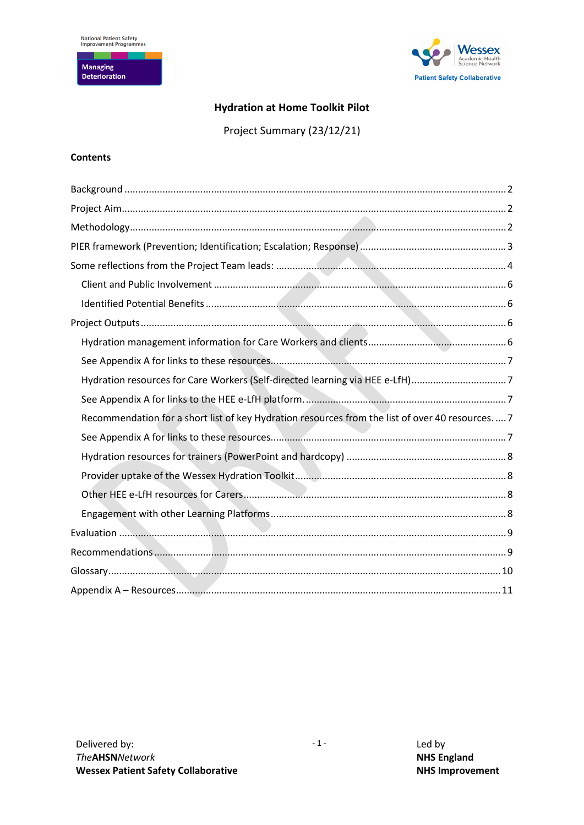**Managing<br>Deterioration** 



# **Hydration at Home Toolkit Pilot**

Project Summary (23/12/21)

## **Contents**

<span id="page-0-0"></span>

| Hydration resources for Care Workers (Self-directed learning via HEE e-LfH)7                      |
|---------------------------------------------------------------------------------------------------|
|                                                                                                   |
| Recommendation for a short list of key Hydration resources from the list of over 40 resources.  7 |
|                                                                                                   |
|                                                                                                   |
|                                                                                                   |
|                                                                                                   |
|                                                                                                   |
|                                                                                                   |
|                                                                                                   |
|                                                                                                   |
|                                                                                                   |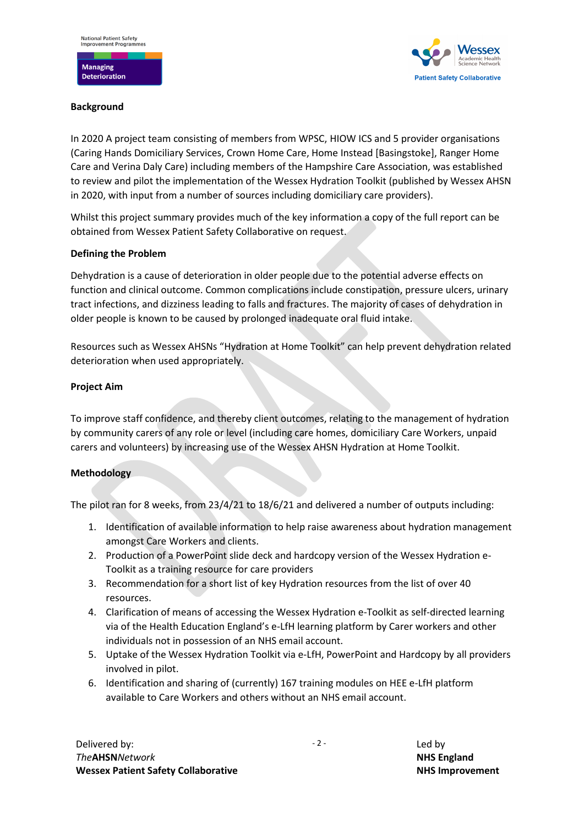

### **Background**

In 2020 A project team consisting of members from WPSC, HIOW ICS and 5 provider organisations (Caring Hands Domiciliary Services, Crown Home Care, Home Instead [Basingstoke], Ranger Home Care and Verina Daly Care) including members of the Hampshire Care Association, was established to review and pilot the implementation of the Wessex Hydration Toolkit (published by Wessex AHSN in 2020, with input from a number of sources including domiciliary care providers).

Whilst this project summary provides much of the key information a copy of the full report can be obtained from Wessex Patient Safety Collaborative on request.

### **Defining the Problem**

Dehydration is a cause of deterioration in older people due to the potential adverse effects on function and clinical outcome. Common complications include constipation, pressure ulcers, urinary tract infections, and dizziness leading to falls and fractures. The majority of cases of dehydration in older people is known to be caused by prolonged inadequate oral fluid intake.

Resources such as Wessex AHSNs "Hydration at Home Toolkit" can help prevent dehydration related deterioration when used appropriately.

### <span id="page-1-0"></span>**Project Aim**

To improve staff confidence, and thereby client outcomes, relating to the management of hydration by community carers of any role or level (including care homes, domiciliary Care Workers, unpaid carers and volunteers) by increasing use of the Wessex AHSN Hydration at Home Toolkit.

#### <span id="page-1-1"></span>**Methodology**

The pilot ran for 8 weeks, from 23/4/21 to 18/6/21 and delivered a number of outputs including:

- 1. Identification of available information to help raise awareness about hydration management amongst Care Workers and clients.
- 2. Production of a PowerPoint slide deck and hardcopy version of the Wessex Hydration e-Toolkit as a training resource for care providers
- 3. Recommendation for a short list of key Hydration resources from the list of over 40 resources.
- 4. Clarification of means of accessing the Wessex Hydration e-Toolkit as self-directed learning via of the Health Education England's e-LfH learning platform by Carer workers and other individuals not in possession of an NHS email account.
- 5. Uptake of the Wessex Hydration Toolkit via e-LfH, PowerPoint and Hardcopy by all providers involved in pilot.
- 6. Identification and sharing of (currently) 167 training modules on HEE e-LfH platform available to Care Workers and others without an NHS email account.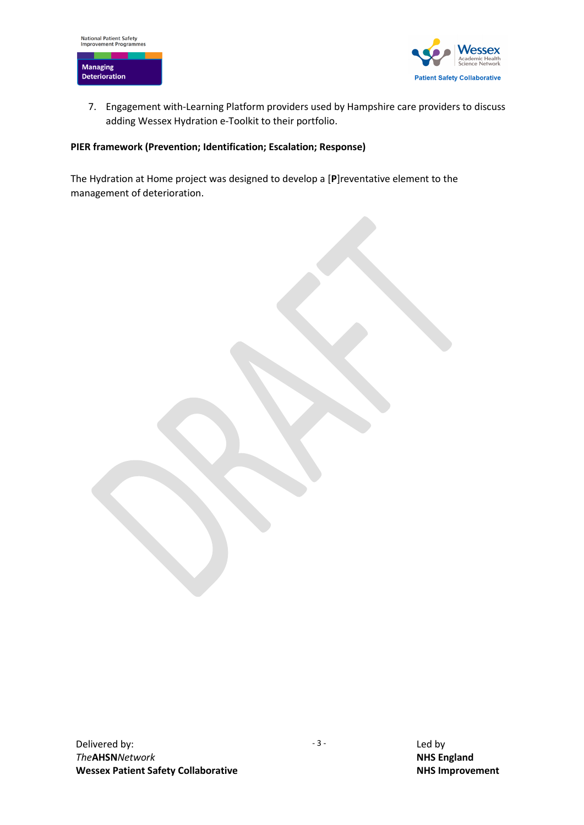

7. Engagement with-Learning Platform providers used by Hampshire care providers to discuss adding Wessex Hydration e-Toolkit to their portfolio.

### <span id="page-2-0"></span>**PIER framework (Prevention; Identification; Escalation; Response)**

The Hydration at Home project was designed to develop a [**P**]reventative element to the management of deterioration.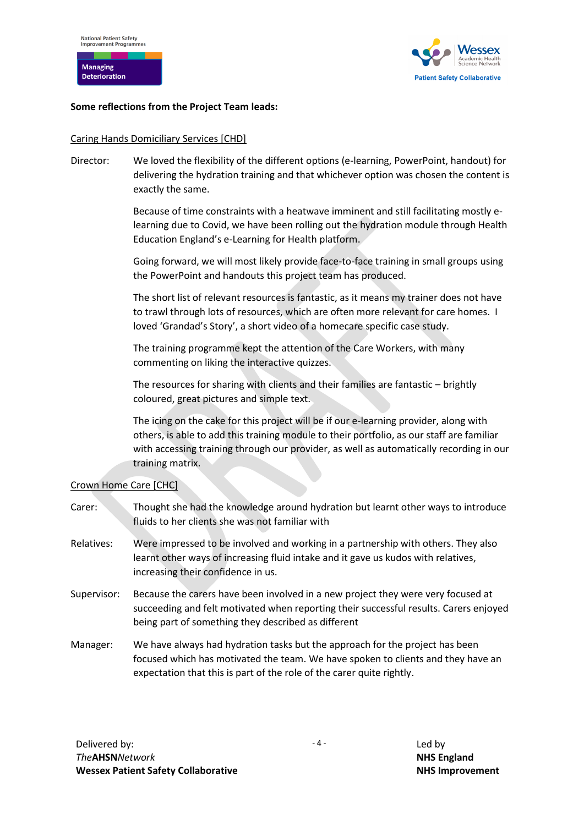



### <span id="page-3-0"></span>**Some reflections from the Project Team leads:**

#### Caring Hands Domiciliary Services [CHD]

Director: We loved the flexibility of the different options (e-learning, PowerPoint, handout) for delivering the hydration training and that whichever option was chosen the content is exactly the same.

> Because of time constraints with a heatwave imminent and still facilitating mostly elearning due to Covid, we have been rolling out the hydration module through Health Education England's e-Learning for Health platform.

> Going forward, we will most likely provide face-to-face training in small groups using the PowerPoint and handouts this project team has produced.

> The short list of relevant resources is fantastic, as it means my trainer does not have to trawl through lots of resources, which are often more relevant for care homes. I loved 'Grandad's Story', a short video of a homecare specific case study.

The training programme kept the attention of the Care Workers, with many commenting on liking the interactive quizzes.

The resources for sharing with clients and their families are fantastic – brightly coloured, great pictures and simple text.

The icing on the cake for this project will be if our e-learning provider, along with others, is able to add this training module to their portfolio, as our staff are familiar with accessing training through our provider, as well as automatically recording in our training matrix.

## Crown Home Care [CHC]

- Carer: Thought she had the knowledge around hydration but learnt other ways to introduce fluids to her clients she was not familiar with
- Relatives: Were impressed to be involved and working in a partnership with others. They also learnt other ways of increasing fluid intake and it gave us kudos with relatives, increasing their confidence in us.
- Supervisor: Because the carers have been involved in a new project they were very focused at succeeding and felt motivated when reporting their successful results. Carers enjoyed being part of something they described as different
- Manager: We have always had hydration tasks but the approach for the project has been focused which has motivated the team. We have spoken to clients and they have an expectation that this is part of the role of the carer quite rightly.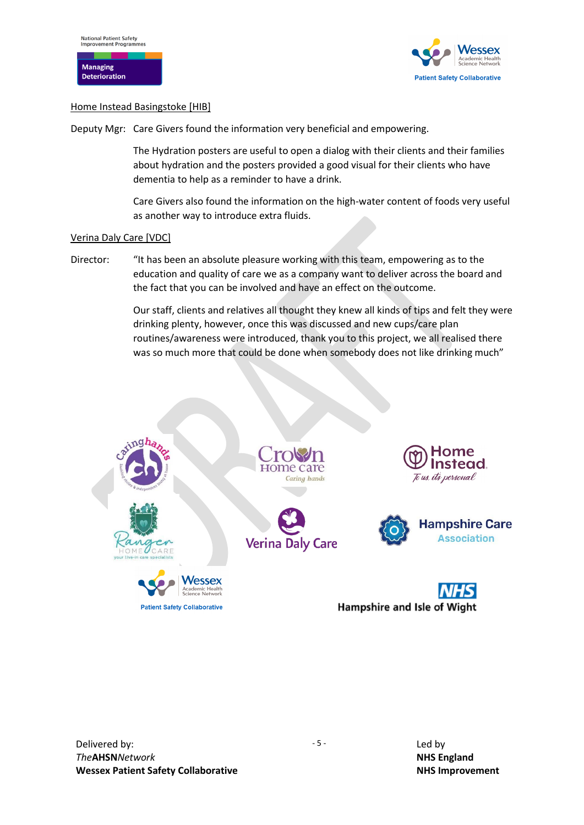

#### Home Instead Basingstoke [HIB]

Deputy Mgr: Care Givers found the information very beneficial and empowering.

The Hydration posters are useful to open a dialog with their clients and their families about hydration and the posters provided a good visual for their clients who have dementia to help as a reminder to have a drink.

Care Givers also found the information on the high-water content of foods very useful as another way to introduce extra fluids.

#### Verina Daly Care [VDC]

Director: "It has been an absolute pleasure working with this team, empowering as to the education and quality of care we as a company want to deliver across the board and the fact that you can be involved and have an effect on the outcome.

> Our staff, clients and relatives all thought they knew all kinds of tips and felt they were drinking plenty, however, once this was discussed and new cups/care plan routines/awareness were introduced, thank you to this project, we all realised there was so much more that could be done when somebody does not like drinking much"

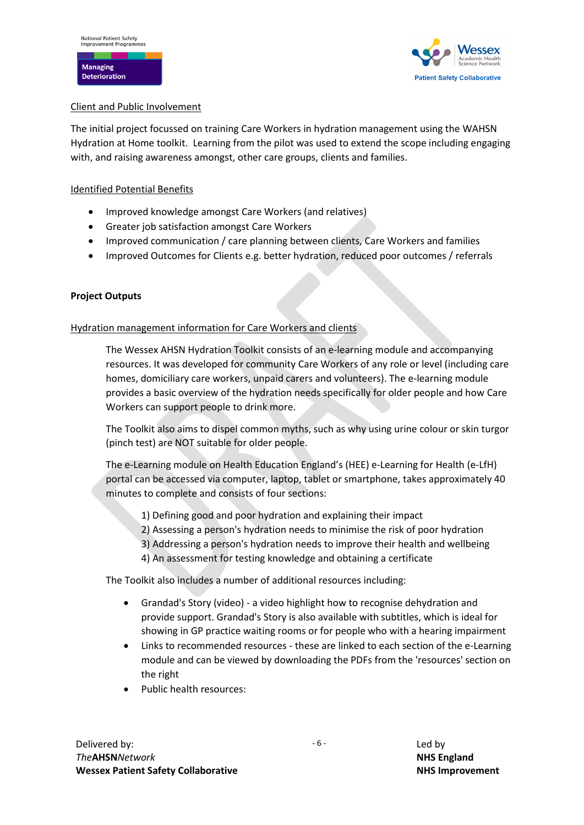

## <span id="page-5-0"></span>Client and Public Involvement

The initial project focussed on training Care Workers in hydration management using the WAHSN Hydration at Home toolkit. Learning from the pilot was used to extend the scope including engaging with, and raising awareness amongst, other care groups, clients and families.

## <span id="page-5-1"></span>Identified Potential Benefits

- Improved knowledge amongst Care Workers (and relatives)
- Greater job satisfaction amongst Care Workers
- Improved communication / care planning between clients, Care Workers and families
- Improved Outcomes for Clients e.g. better hydration, reduced poor outcomes / referrals

## <span id="page-5-2"></span>**Project Outputs**

## <span id="page-5-3"></span>Hydration management information for Care Workers and clients

The Wessex AHSN Hydration Toolkit consists of an e-learning module and accompanying resources. It was developed for community Care Workers of any role or level (including care homes, domiciliary care workers, unpaid carers and volunteers). The e-learning module provides a basic overview of the hydration needs specifically for older people and how Care Workers can support people to drink more.

The Toolkit also aims to dispel common myths, such as why using urine colour or skin turgor (pinch test) are NOT suitable for older people.

The e-Learning module on Health Education England's (HEE) e-Learning for Health (e-LfH) portal can be accessed via computer, laptop, tablet or smartphone, takes approximately 40 minutes to complete and consists of four sections:

- 1) Defining good and poor hydration and explaining their impact
- 2) Assessing a person's hydration needs to minimise the risk of poor hydration
- 3) Addressing a person's hydration needs to improve their health and wellbeing
- 4) An assessment for testing knowledge and obtaining a certificate

The Toolkit also includes a number of additional resources including:

- Grandad's Story (video) a video highlight how to recognise dehydration and provide support. Grandad's Story is also available with subtitles, which is ideal for showing in GP practice waiting rooms or for people who with a hearing impairment
- Links to recommended resources these are linked to each section of the e-Learning module and can be viewed by downloading the PDFs from the 'resources' section on the right
- Public health resources: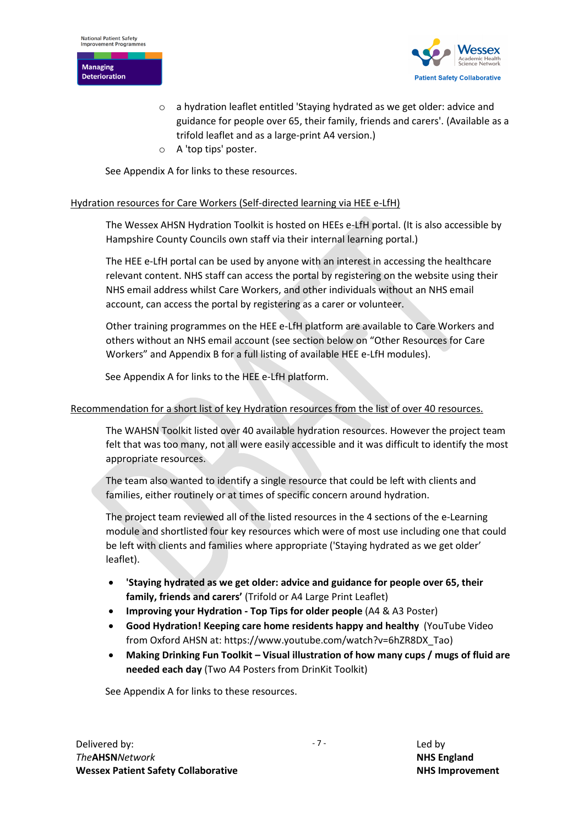



- a hydration leaflet entitled 'Staying hydrated as we get older: advice and guidance for people over 65, their family, friends and carers'. (Available as a trifold leaflet and as a large-print A4 version.)
- o A 'top tips' poster.

See Appendix A for links to these resources.

### <span id="page-6-1"></span><span id="page-6-0"></span>Hydration resources for Care Workers (Self-directed learning via HEE e-LfH)

The Wessex AHSN Hydration Toolkit is hosted on HEEs e-LfH portal. (It is also accessible by Hampshire County Councils own staff via their internal learning portal.)

The HEE e-LfH portal can be used by anyone with an interest in accessing the healthcare relevant content. NHS staff can access the portal by registering on the website using their NHS email address whilst Care Workers, and other individuals without an NHS email account, can access the portal by registering as a carer or volunteer.

Other training programmes on the HEE e-LfH platform are available to Care Workers and others without an NHS email account (see section below on "Other Resources for Care Workers" and Appendix B for a full listing of available HEE e-LfH modules).

See Appendix A for links to the HEE e-LfH platform.

### <span id="page-6-3"></span><span id="page-6-2"></span>Recommendation for a short list of key Hydration resources from the list of over 40 resources.

The WAHSN Toolkit listed over 40 available hydration resources. However the project team felt that was too many, not all were easily accessible and it was difficult to identify the most appropriate resources.

The team also wanted to identify a single resource that could be left with clients and families, either routinely or at times of specific concern around hydration.

The project team reviewed all of the listed resources in the 4 sections of the e-Learning module and shortlisted four key resources which were of most use including one that could be left with clients and families where appropriate ('Staying hydrated as we get older' leaflet).

- **'Staying hydrated as we get older: advice and guidance for people over 65, their family, friends and carers'** (Trifold or A4 Large Print Leaflet)
- **Improving your Hydration - Top Tips for older people** (A4 & A3 Poster)
- **Good Hydration! Keeping care home residents happy and healthy** (YouTube Video from Oxford AHSN at: https://www.youtube.com/watch?v=6hZR8DX\_Tao)
- **Making Drinking Fun Toolkit – Visual illustration of how many cups / mugs of fluid are needed each day** (Two A4 Posters from DrinKit Toolkit)

<span id="page-6-4"></span>See Appendix A for links to these resources.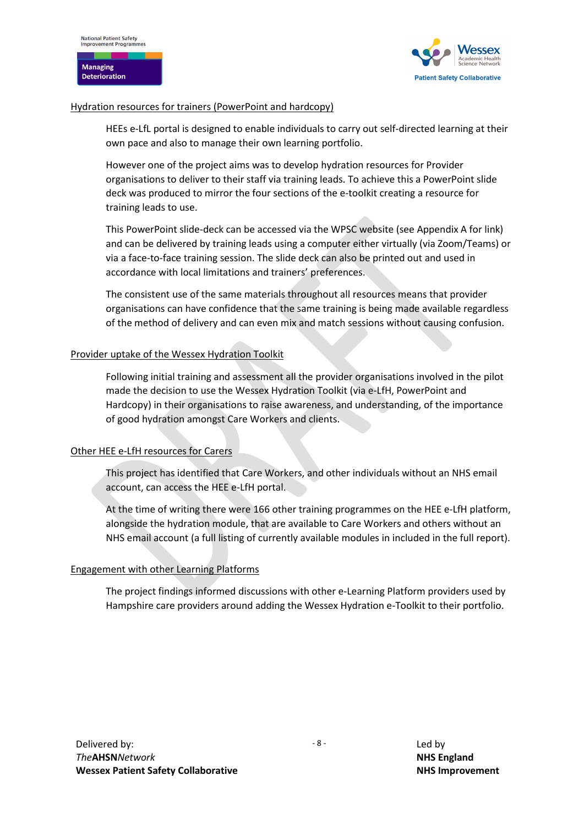**Managing Deterioration** 



#### <span id="page-7-0"></span>Hydration resources for trainers (PowerPoint and hardcopy)

HEEs e-LfL portal is designed to enable individuals to carry out self-directed learning at their own pace and also to manage their own learning portfolio.

However one of the project aims was to develop hydration resources for Provider organisations to deliver to their staff via training leads. To achieve this a PowerPoint slide deck was produced to mirror the four sections of the e-toolkit creating a resource for training leads to use.

This PowerPoint slide-deck can be accessed via the WPSC website (see Appendix A for link) and can be delivered by training leads using a computer either virtually (via Zoom/Teams) or via a face-to-face training session. The slide deck can also be printed out and used in accordance with local limitations and trainers' preferences.

The consistent use of the same materials throughout all resources means that provider organisations can have confidence that the same training is being made available regardless of the method of delivery and can even mix and match sessions without causing confusion.

### <span id="page-7-1"></span>Provider uptake of the Wessex Hydration Toolkit

Following initial training and assessment all the provider organisations involved in the pilot made the decision to use the Wessex Hydration Toolkit (via e-LfH, PowerPoint and Hardcopy) in their organisations to raise awareness, and understanding, of the importance of good hydration amongst Care Workers and clients.

## <span id="page-7-2"></span>Other HEE e-LfH resources for Carers

This project has identified that Care Workers, and other individuals without an NHS email account, can access the HEE e-LfH portal.

At the time of writing there were 166 other training programmes on the HEE e-LfH platform, alongside the hydration module, that are available to Care Workers and others without an NHS email account (a full listing of currently available modules in included in the full report).

## <span id="page-7-3"></span>Engagement with other Learning Platforms

The project findings informed discussions with other e-Learning Platform providers used by Hampshire care providers around adding the Wessex Hydration e-Toolkit to their portfolio.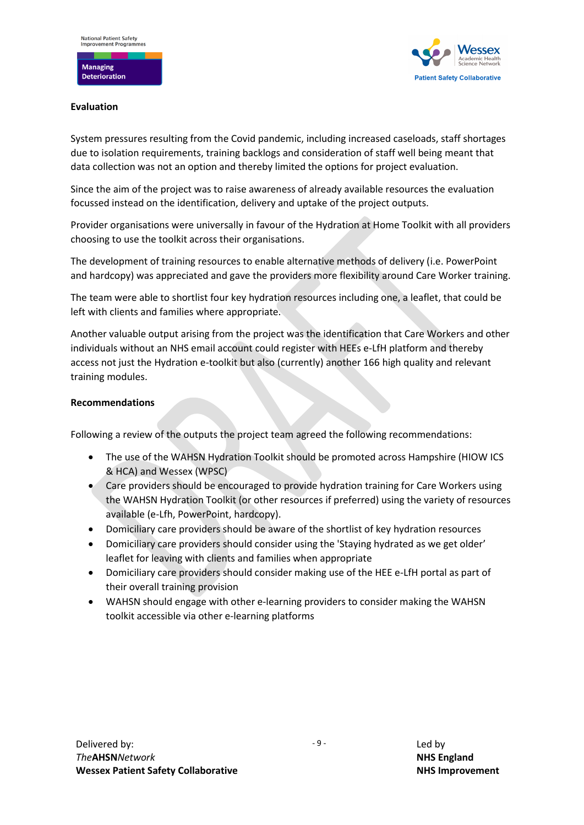

### <span id="page-8-0"></span>**Evaluation**

System pressures resulting from the Covid pandemic, including increased caseloads, staff shortages due to isolation requirements, training backlogs and consideration of staff well being meant that data collection was not an option and thereby limited the options for project evaluation.

Since the aim of the project was to raise awareness of already available resources the evaluation focussed instead on the identification, delivery and uptake of the project outputs.

Provider organisations were universally in favour of the Hydration at Home Toolkit with all providers choosing to use the toolkit across their organisations.

The development of training resources to enable alternative methods of delivery (i.e. PowerPoint and hardcopy) was appreciated and gave the providers more flexibility around Care Worker training.

The team were able to shortlist four key hydration resources including one, a leaflet, that could be left with clients and families where appropriate.

Another valuable output arising from the project was the identification that Care Workers and other individuals without an NHS email account could register with HEEs e-LfH platform and thereby access not just the Hydration e-toolkit but also (currently) another 166 high quality and relevant training modules.

#### <span id="page-8-1"></span>**Recommendations**

Following a review of the outputs the project team agreed the following recommendations:

- The use of the WAHSN Hydration Toolkit should be promoted across Hampshire (HIOW ICS & HCA) and Wessex (WPSC)
- Care providers should be encouraged to provide hydration training for Care Workers using the WAHSN Hydration Toolkit (or other resources if preferred) using the variety of resources available (e-Lfh, PowerPoint, hardcopy).
- Domiciliary care providers should be aware of the shortlist of key hydration resources
- Domiciliary care providers should consider using the 'Staying hydrated as we get older' leaflet for leaving with clients and families when appropriate
- Domiciliary care providers should consider making use of the HEE e-LfH portal as part of their overall training provision
- WAHSN should engage with other e-learning providers to consider making the WAHSN toolkit accessible via other e-learning platforms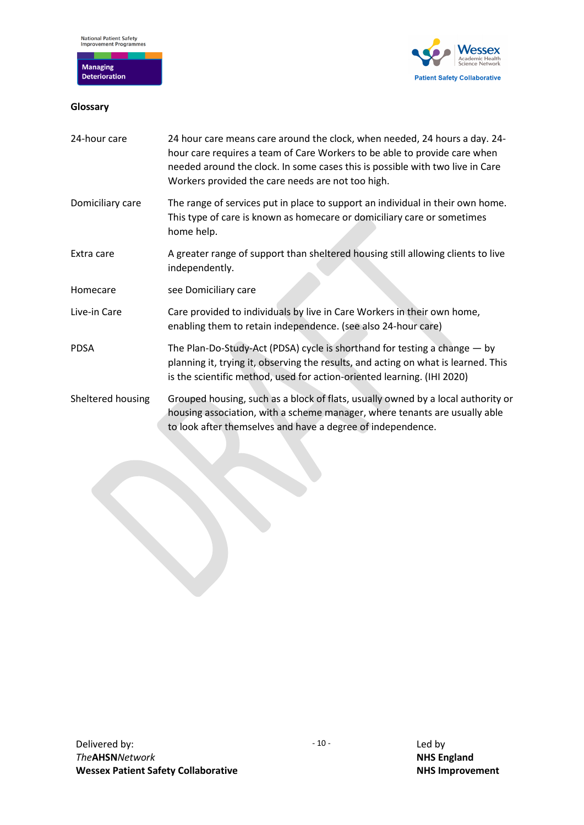

# <span id="page-9-0"></span>**Glossary**



| 24-hour care      | 24 hour care means care around the clock, when needed, 24 hours a day. 24-<br>hour care requires a team of Care Workers to be able to provide care when<br>needed around the clock. In some cases this is possible with two live in Care<br>Workers provided the care needs are not too high. |
|-------------------|-----------------------------------------------------------------------------------------------------------------------------------------------------------------------------------------------------------------------------------------------------------------------------------------------|
| Domiciliary care  | The range of services put in place to support an individual in their own home.<br>This type of care is known as homecare or domiciliary care or sometimes<br>home help.                                                                                                                       |
| Extra care        | A greater range of support than sheltered housing still allowing clients to live<br>independently.                                                                                                                                                                                            |
| Homecare          | see Domiciliary care                                                                                                                                                                                                                                                                          |
| Live-in Care      | Care provided to individuals by live in Care Workers in their own home,<br>enabling them to retain independence. (see also 24-hour care)                                                                                                                                                      |
| <b>PDSA</b>       | The Plan-Do-Study-Act (PDSA) cycle is shorthand for testing a change - by<br>planning it, trying it, observing the results, and acting on what is learned. This<br>is the scientific method, used for action-oriented learning. (IHI 2020)                                                    |
| Sheltered housing | Grouped housing, such as a block of flats, usually owned by a local authority or<br>housing association, with a scheme manager, where tenants are usually able<br>to look after themselves and have a degree of independence.                                                                 |